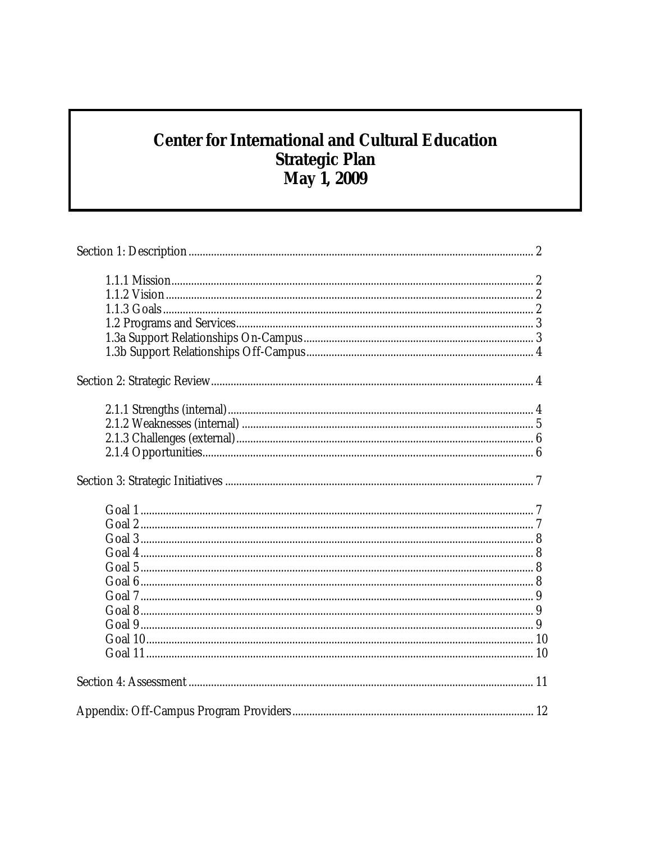# **Center for International and Cultural Education** Strategic Plan<br>May 1, 2009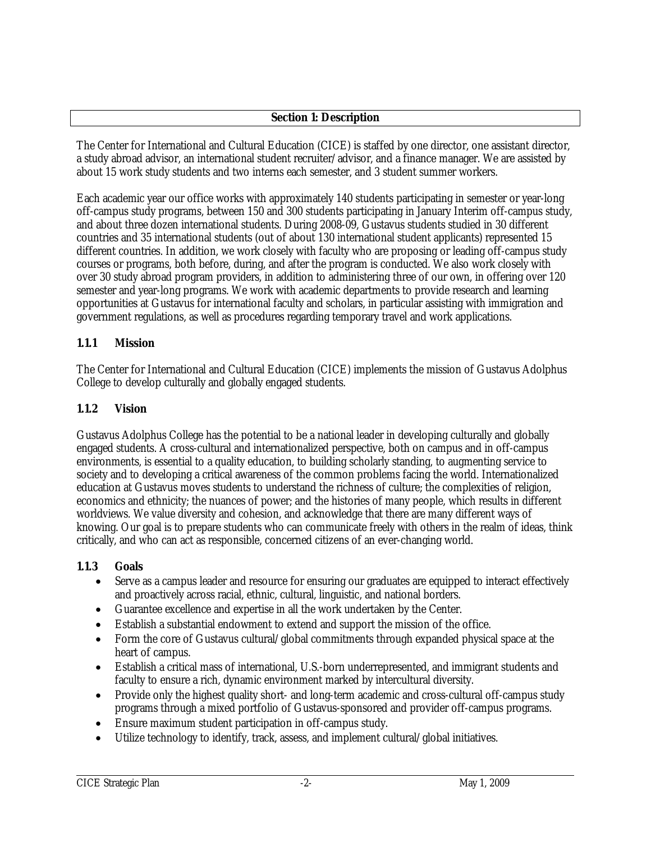## **Section 1: Description**

The Center for International and Cultural Education (CICE) is staffed by one director, one assistant director, a study abroad advisor, an international student recruiter/advisor, and a finance manager. We are assisted by about 15 work study students and two interns each semester, and 3 student summer workers.

Each academic year our office works with approximately 140 students participating in semester or year-long off-campus study programs, between 150 and 300 students participating in January Interim off-campus study, and about three dozen international students. During 2008-09, Gustavus students studied in 30 different countries and 35 international students (out of about 130 international student applicants) represented 15 different countries. In addition, we work closely with faculty who are proposing or leading off-campus study courses or programs, both before, during, and after the program is conducted. We also work closely with over 30 study abroad program providers, in addition to administering three of our own, in offering over 120 semester and year-long programs. We work with academic departments to provide research and learning opportunities at Gustavus for international faculty and scholars, in particular assisting with immigration and government regulations, as well as procedures regarding temporary travel and work applications.

# **1.1.1 Mission**

The Center for International and Cultural Education (CICE) implements the mission of Gustavus Adolphus College to develop culturally and globally engaged students.

# **1.1.2 Vision**

Gustavus Adolphus College has the potential to be a national leader in developing culturally and globally engaged students. A cross-cultural and internationalized perspective, both on campus and in off-campus environments, is essential to a quality education, to building scholarly standing, to augmenting service to society and to developing a critical awareness of the common problems facing the world. Internationalized education at Gustavus moves students to understand the richness of culture; the complexities of religion, economics and ethnicity; the nuances of power; and the histories of many people, which results in different worldviews. We value diversity and cohesion, and acknowledge that there are many different ways of knowing. Our goal is to prepare students who can communicate freely with others in the realm of ideas, think critically, and who can act as responsible, concerned citizens of an ever-changing world.

# **1.1.3 Goals**

- Serve as a campus leader and resource for ensuring our graduates are equipped to interact effectively and proactively across racial, ethnic, cultural, linguistic, and national borders.
- Guarantee excellence and expertise in all the work undertaken by the Center.
- Establish a substantial endowment to extend and support the mission of the office.
- Form the core of Gustavus cultural/global commitments through expanded physical space at the heart of campus.
- Establish a critical mass of international, U.S.-born underrepresented, and immigrant students and faculty to ensure a rich, dynamic environment marked by intercultural diversity.
- Provide only the highest quality short- and long-term academic and cross-cultural off-campus study programs through a mixed portfolio of Gustavus-sponsored and provider off-campus programs.
- Ensure maximum student participation in off-campus study.
- Utilize technology to identify, track, assess, and implement cultural/global initiatives.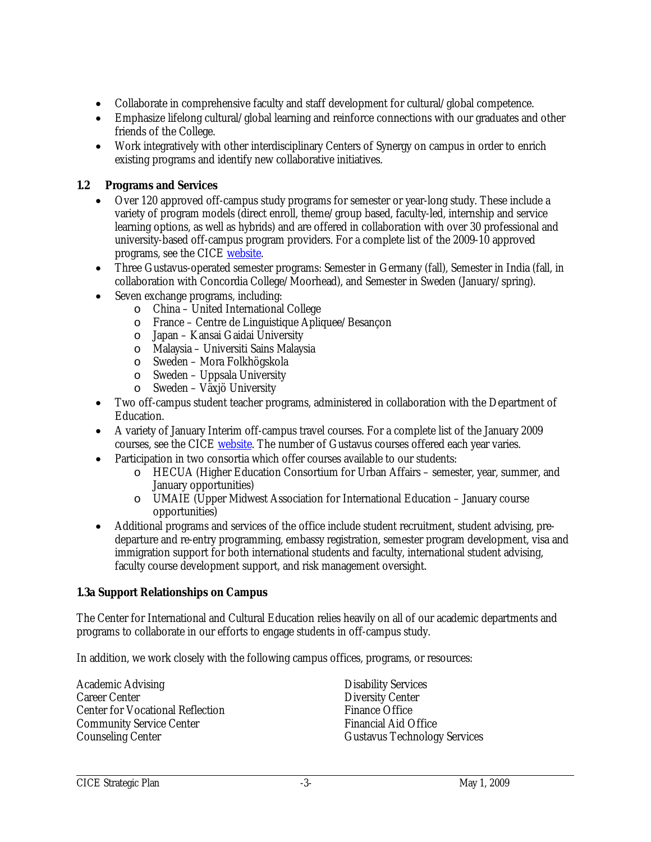- Collaborate in comprehensive faculty and staff development for cultural/global competence.
- Emphasize lifelong cultural/global learning and reinforce connections with our graduates and other friends of the College.
- Work integratively with other interdisciplinary Centers of Synergy on campus in order to enrich existing programs and identify new collaborative initiatives.

# **1.2 Programs and Services**

- Over 120 approved off-campus study programs for semester or year-long study. These include a variety of program models (direct enroll, theme/group based, faculty-led, internship and service learning options, as well as hybrids) and are offered in collaboration with over 30 professional and university-based off-campus program providers. For a complete list of the 2009-10 approved programs, see the CICE website.
- Three Gustavus-operated semester programs: Semester in Germany (fall), Semester in India (fall, in collaboration with Concordia College/Moorhead), and Semester in Sweden (January/spring).
- Seven exchange programs, including:
	- o China United International College
	- o France Centre de Linguistique Apliquee/Besançon
	- o Japan Kansai Gaidai University
	- o Malaysia Universiti Sains Malaysia
	- o Sweden Mora Folkhögskola
	- o Sweden Uppsala University
	- o Sweden Växjö University
- Two off-campus student teacher programs, administered in collaboration with the Department of Education.
- A variety of January Interim off-campus travel courses. For a complete list of the January 2009 courses, see the CICE website. The number of Gustavus courses offered each year varies.
- Participation in two consortia which offer courses available to our students:
	- o HECUA (Higher Education Consortium for Urban Affairs semester, year, summer, and January opportunities)
	- o UMAIE (Upper Midwest Association for International Education January course opportunities)
- Additional programs and services of the office include student recruitment, student advising, predeparture and re-entry programming, embassy registration, semester program development, visa and immigration support for both international students and faculty, international student advising, faculty course development support, and risk management oversight.

# **1.3a Support Relationships on Campus**

The Center for International and Cultural Education relies heavily on all of our academic departments and programs to collaborate in our efforts to engage students in off-campus study.

In addition, we work closely with the following campus offices, programs, or resources:

Academic Advising Career Center Center for Vocational Reflection Community Service Center Counseling Center

Disability Services Diversity Center Finance Office Financial Aid Office Gustavus Technology Services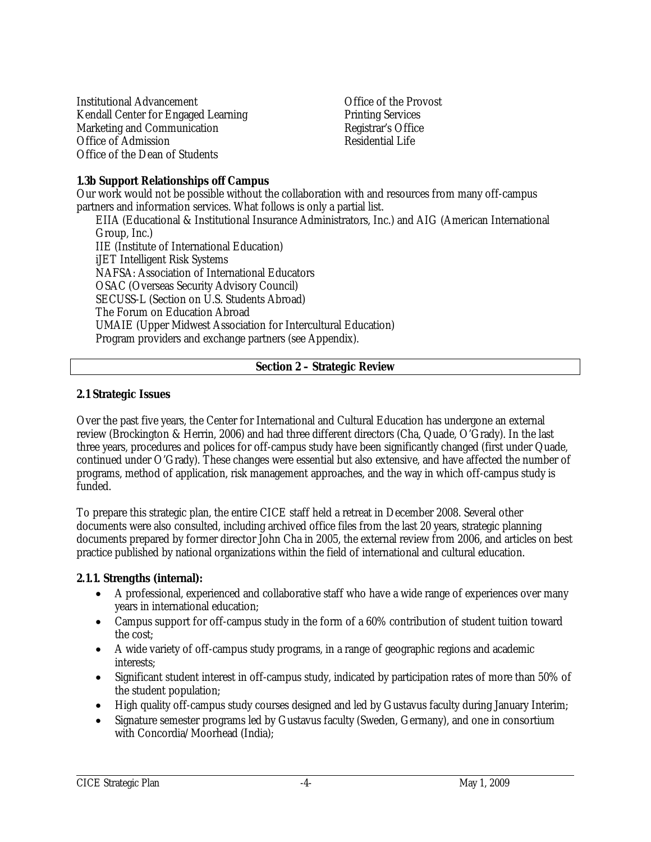Institutional Advancement Kendall Center for Engaged Learning Marketing and Communication Office of Admission Office of the Dean of Students

Office of the Provost Printing Services Registrar's Office Residential Life

#### **1.3b Support Relationships off Campus**

Our work would not be possible without the collaboration with and resources from many off-campus partners and information services. What follows is only a partial list.

EIIA (Educational & Institutional Insurance Administrators, Inc.) and AIG (American International Group, Inc.) IIE (Institute of International Education) iJET Intelligent Risk Systems NAFSA: Association of International Educators OSAC (Overseas Security Advisory Council) SECUSS-L (Section on U.S. Students Abroad) The Forum on Education Abroad UMAIE (Upper Midwest Association for Intercultural Education) Program providers and exchange partners (see Appendix).

## **Section 2 – Strategic Review**

#### **2.1 Strategic Issues**

Over the past five years, the Center for International and Cultural Education has undergone an external review (Brockington & Herrin, 2006) and had three different directors (Cha, Quade, O'Grady). In the last three years, procedures and polices for off-campus study have been significantly changed (first under Quade, continued under O'Grady). These changes were essential but also extensive, and have affected the number of programs, method of application, risk management approaches, and the way in which off-campus study is funded.

To prepare this strategic plan, the entire CICE staff held a retreat in December 2008. Several other documents were also consulted, including archived office files from the last 20 years, strategic planning documents prepared by former director John Cha in 2005, the external review from 2006, and articles on best practice published by national organizations within the field of international and cultural education.

#### **2.1.1. Strengths (internal):**

- A professional, experienced and collaborative staff who have a wide range of experiences over many years in international education;
- Campus support for off-campus study in the form of a 60% contribution of student tuition toward the cost;
- A wide variety of off-campus study programs, in a range of geographic regions and academic interests;
- Significant student interest in off-campus study, indicated by participation rates of more than 50% of the student population;
- High quality off-campus study courses designed and led by Gustavus faculty during January Interim;
- Signature semester programs led by Gustavus faculty (Sweden, Germany), and one in consortium with Concordia/Moorhead (India);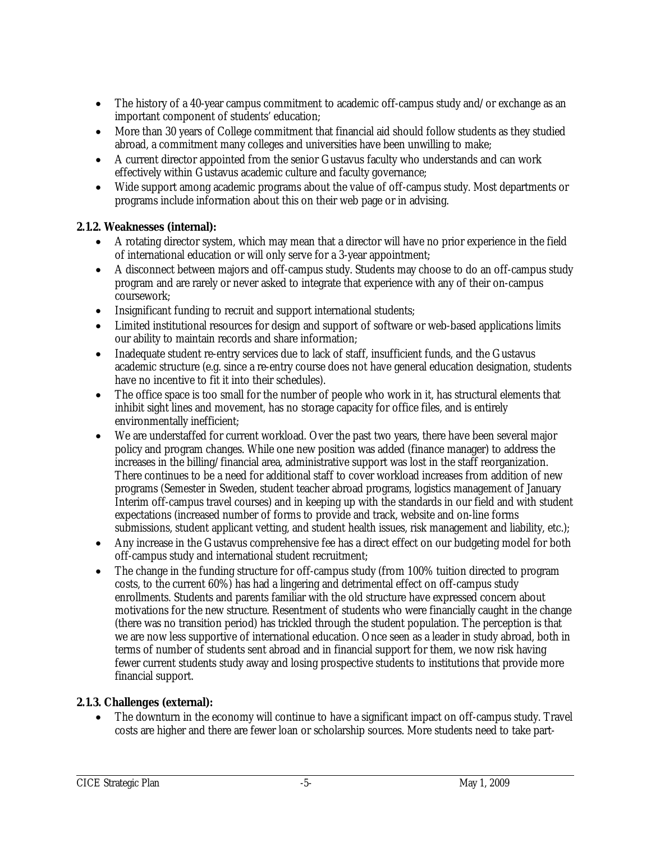- The history of a 40-year campus commitment to academic off-campus study and/or exchange as an important component of students' education;
- More than 30 years of College commitment that financial aid should follow students as they studied abroad, a commitment many colleges and universities have been unwilling to make;
- A current director appointed from the senior Gustavus faculty who understands and can work effectively within Gustavus academic culture and faculty governance;
- Wide support among academic programs about the value of off-campus study. Most departments or programs include information about this on their web page or in advising.

# **2.1.2. Weaknesses (internal):**

- A rotating director system, which may mean that a director will have no prior experience in the field of international education or will only serve for a 3-year appointment;
- A disconnect between majors and off-campus study. Students may choose to do an off-campus study program and are rarely or never asked to integrate that experience with any of their on-campus coursework;
- Insignificant funding to recruit and support international students;
- Limited institutional resources for design and support of software or web-based applications limits our ability to maintain records and share information;
- Inadequate student re-entry services due to lack of staff, insufficient funds, and the Gustavus academic structure (e.g. since a re-entry course does not have general education designation, students have no incentive to fit it into their schedules).
- The office space is too small for the number of people who work in it, has structural elements that inhibit sight lines and movement, has no storage capacity for office files, and is entirely environmentally inefficient;
- We are understaffed for current workload. Over the past two years, there have been several major policy and program changes. While one new position was added (finance manager) to address the increases in the billing/financial area, administrative support was lost in the staff reorganization. There continues to be a need for additional staff to cover workload increases from addition of new programs (Semester in Sweden, student teacher abroad programs, logistics management of January Interim off-campus travel courses) and in keeping up with the standards in our field and with student expectations (increased number of forms to provide and track, website and on-line forms submissions, student applicant vetting, and student health issues, risk management and liability, etc.);
- Any increase in the Gustavus comprehensive fee has a direct effect on our budgeting model for both off-campus study and international student recruitment;
- The change in the funding structure for off-campus study (from 100% tuition directed to program costs, to the current 60%) has had a lingering and detrimental effect on off-campus study enrollments. Students and parents familiar with the old structure have expressed concern about motivations for the new structure. Resentment of students who were financially caught in the change (there was no transition period) has trickled through the student population. The perception is that we are now less supportive of international education. Once seen as a leader in study abroad, both in terms of number of students sent abroad and in financial support for them, we now risk having fewer current students study away and losing prospective students to institutions that provide more financial support.

# **2.1.3. Challenges (external):**

 The downturn in the economy will continue to have a significant impact on off-campus study. Travel costs are higher and there are fewer loan or scholarship sources. More students need to take part-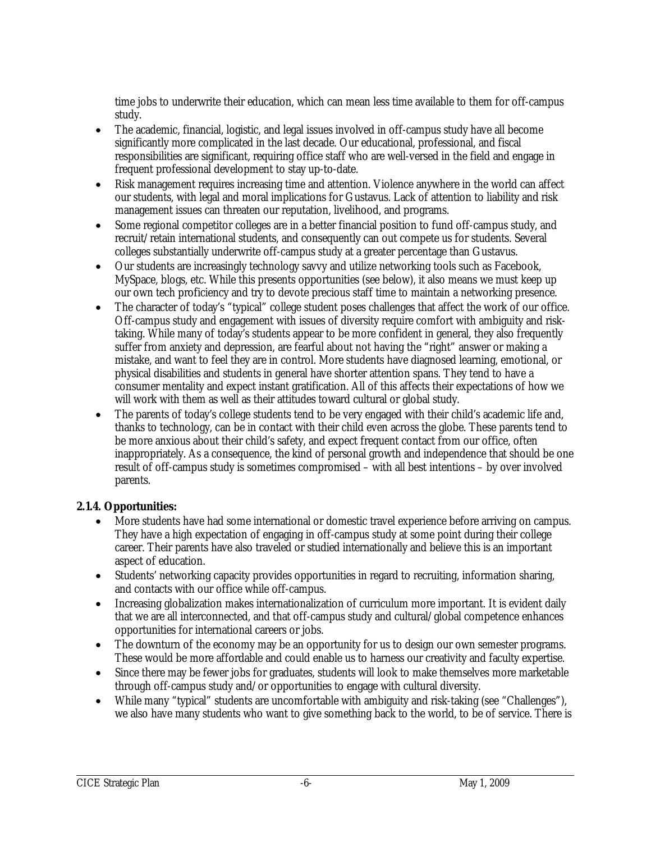time jobs to underwrite their education, which can mean less time available to them for off-campus study.

- The academic, financial, logistic, and legal issues involved in off-campus study have all become significantly more complicated in the last decade. Our educational, professional, and fiscal responsibilities are significant, requiring office staff who are well-versed in the field and engage in frequent professional development to stay up-to-date.
- Risk management requires increasing time and attention. Violence anywhere in the world can affect our students, with legal and moral implications for Gustavus. Lack of attention to liability and risk management issues can threaten our reputation, livelihood, and programs.
- Some regional competitor colleges are in a better financial position to fund off-campus study, and recruit/retain international students, and consequently can out compete us for students. Several colleges substantially underwrite off-campus study at a greater percentage than Gustavus.
- Our students are increasingly technology savvy and utilize networking tools such as Facebook, MySpace, blogs, etc. While this presents opportunities (see below), it also means we must keep up our own tech proficiency and try to devote precious staff time to maintain a networking presence.
- The character of today's "typical" college student poses challenges that affect the work of our office. Off-campus study and engagement with issues of diversity require comfort with ambiguity and risktaking. While many of today's students appear to be more confident in general, they also frequently suffer from anxiety and depression, are fearful about not having the "right" answer or making a mistake, and want to feel they are in control. More students have diagnosed learning, emotional, or physical disabilities and students in general have shorter attention spans. They tend to have a consumer mentality and expect instant gratification. All of this affects their expectations of how we will work with them as well as their attitudes toward cultural or global study.
- The parents of today's college students tend to be very engaged with their child's academic life and, thanks to technology, can be in contact with their child even across the globe. These parents tend to be more anxious about their child's safety, and expect frequent contact from our office, often inappropriately. As a consequence, the kind of personal growth and independence that should be one result of off-campus study is sometimes compromised – with all best intentions – by over involved parents.

# **2.1.4. Opportunities:**

- More students have had some international or domestic travel experience before arriving on campus. They have a high expectation of engaging in off-campus study at some point during their college career. Their parents have also traveled or studied internationally and believe this is an important aspect of education.
- Students' networking capacity provides opportunities in regard to recruiting, information sharing, and contacts with our office while off-campus.
- Increasing globalization makes internationalization of curriculum more important. It is evident daily that we are all interconnected, and that off-campus study and cultural/global competence enhances opportunities for international careers or jobs.
- The downturn of the economy may be an opportunity for us to design our own semester programs. These would be more affordable and could enable us to harness our creativity and faculty expertise.
- Since there may be fewer jobs for graduates, students will look to make themselves more marketable through off-campus study and/or opportunities to engage with cultural diversity.
- While many "typical" students are uncomfortable with ambiguity and risk-taking (see "Challenges"), we also have many students who want to give something back to the world, to be of service. There is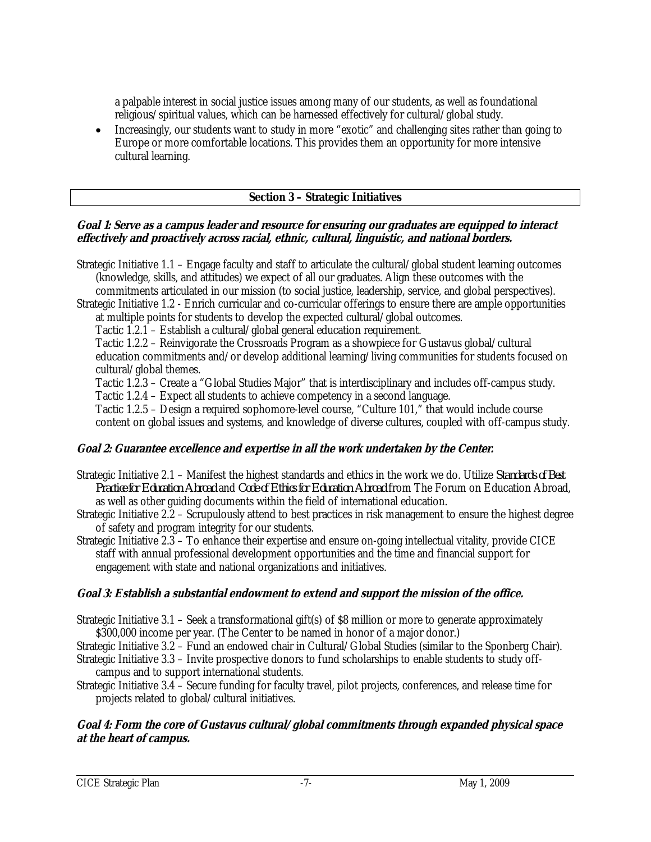a palpable interest in social justice issues among many of our students, as well as foundational religious/spiritual values, which can be harnessed effectively for cultural/global study.

 Increasingly, our students want to study in more "exotic" and challenging sites rather than going to Europe or more comfortable locations. This provides them an opportunity for more intensive cultural learning.

## **Section 3 – Strategic Initiatives**

#### **Goal 1: Serve as a campus leader and resource for ensuring our graduates are equipped to interact effectively and proactively across racial, ethnic, cultural, linguistic, and national borders.**

Strategic Initiative 1.1 – Engage faculty and staff to articulate the cultural/global student learning outcomes (knowledge, skills, and attitudes) we expect of all our graduates. Align these outcomes with the commitments articulated in our mission (to social justice, leadership, service, and global perspectives).

Strategic Initiative 1.2 - Enrich curricular and co-curricular offerings to ensure there are ample opportunities at multiple points for students to develop the expected cultural/global outcomes.

Tactic 1.2.1 – Establish a cultural/global general education requirement.

 Tactic 1.2.2 – Reinvigorate the Crossroads Program as a showpiece for Gustavus global/cultural education commitments and/or develop additional learning/living communities for students focused on cultural/global themes.

Tactic 1.2.3 – Create a "Global Studies Major" that is interdisciplinary and includes off-campus study.

Tactic 1.2.4 – Expect all students to achieve competency in a second language.

 Tactic 1.2.5 – Design a required sophomore-level course, "Culture 101," that would include course content on global issues and systems, and knowledge of diverse cultures, coupled with off-campus study.

# **Goal 2: Guarantee excellence and expertise in all the work undertaken by the Center.**

- Strategic Initiative 2.1 Manifest the highest standards and ethics in the work we do. Utilize *Standards of Best Practice for Education Abroad* and *Code of Ethics for Education Abroad* from The Forum on Education Abroad, as well as other guiding documents within the field of international education.
- Strategic Initiative 2.2 Scrupulously attend to best practices in risk management to ensure the highest degree of safety and program integrity for our students.
- Strategic Initiative 2.3 To enhance their expertise and ensure on-going intellectual vitality, provide CICE staff with annual professional development opportunities and the time and financial support for engagement with state and national organizations and initiatives.

# **Goal 3: Establish a substantial endowment to extend and support the mission of the office.**

- Strategic Initiative 3.1 Seek a transformational gift(s) of \$8 million or more to generate approximately \$300,000 income per year. (The Center to be named in honor of a major donor.)
- Strategic Initiative 3.2 Fund an endowed chair in Cultural/Global Studies (similar to the Sponberg Chair).
- Strategic Initiative 3.3 Invite prospective donors to fund scholarships to enable students to study offcampus and to support international students.
- Strategic Initiative 3.4 Secure funding for faculty travel, pilot projects, conferences, and release time for projects related to global/cultural initiatives.

## **Goal 4: Form the core of Gustavus cultural/global commitments through expanded physical space at the heart of campus.**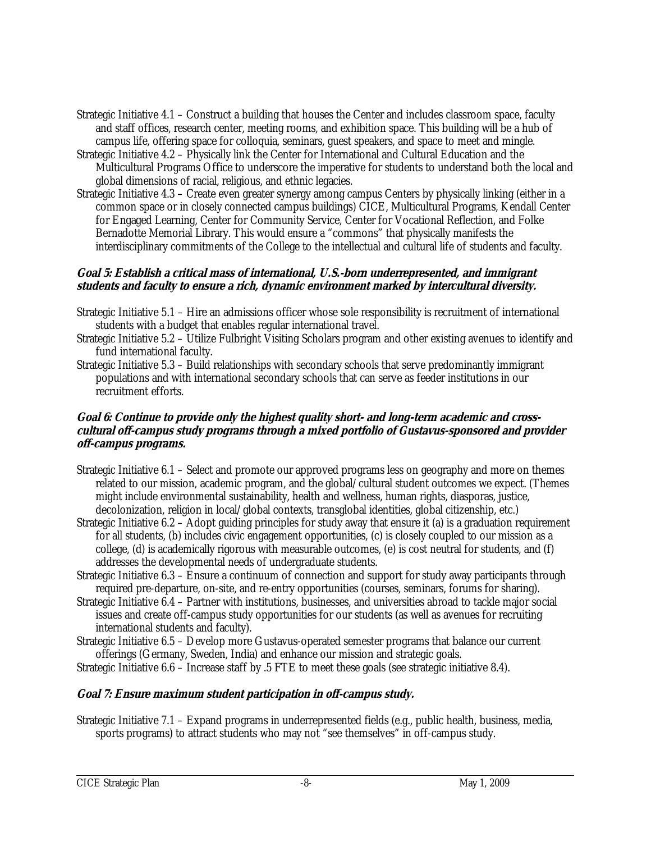- Strategic Initiative 4.1 Construct a building that houses the Center and includes classroom space, faculty and staff offices, research center, meeting rooms, and exhibition space. This building will be a hub of campus life, offering space for colloquia, seminars, guest speakers, and space to meet and mingle.
- Strategic Initiative 4.2 Physically link the Center for International and Cultural Education and the Multicultural Programs Office to underscore the imperative for students to understand both the local and global dimensions of racial, religious, and ethnic legacies.
- Strategic Initiative 4.3 Create even greater synergy among campus Centers by physically linking (either in a common space or in closely connected campus buildings) CICE, Multicultural Programs, Kendall Center for Engaged Learning, Center for Community Service, Center for Vocational Reflection, and Folke Bernadotte Memorial Library. This would ensure a "commons" that physically manifests the interdisciplinary commitments of the College to the intellectual and cultural life of students and faculty.

#### **Goal 5: Establish a critical mass of international, U.S.-born underrepresented, and immigrant students and faculty to ensure a rich, dynamic environment marked by intercultural diversity.**

- Strategic Initiative 5.1 Hire an admissions officer whose sole responsibility is recruitment of international students with a budget that enables regular international travel.
- Strategic Initiative 5.2 Utilize Fulbright Visiting Scholars program and other existing avenues to identify and fund international faculty.
- Strategic Initiative 5.3 Build relationships with secondary schools that serve predominantly immigrant populations and with international secondary schools that can serve as feeder institutions in our recruitment efforts.

#### **Goal 6: Continue to provide only the highest quality short- and long-term academic and crosscultural off-campus study programs through a mixed portfolio of Gustavus-sponsored and provider off-campus programs.**

- Strategic Initiative 6.1 Select and promote our approved programs less on geography and more on themes related to our mission, academic program, and the global/cultural student outcomes we expect. (Themes might include environmental sustainability, health and wellness, human rights, diasporas, justice, decolonization, religion in local/global contexts, transglobal identities, global citizenship, etc.)
- Strategic Initiative 6.2 Adopt guiding principles for study away that ensure it (a) is a graduation requirement for all students, (b) includes civic engagement opportunities, (c) is closely coupled to our mission as a college, (d) is academically rigorous with measurable outcomes, (e) is cost neutral for students, and (f) addresses the developmental needs of undergraduate students.
- Strategic Initiative 6.3 Ensure a continuum of connection and support for study away participants through required pre-departure, on-site, and re-entry opportunities (courses, seminars, forums for sharing).
- Strategic Initiative 6.4 Partner with institutions, businesses, and universities abroad to tackle major social issues and create off-campus study opportunities for our students (as well as avenues for recruiting international students and faculty).
- Strategic Initiative 6.5 Develop more Gustavus-operated semester programs that balance our current offerings (Germany, Sweden, India) and enhance our mission and strategic goals.

Strategic Initiative 6.6 – Increase staff by .5 FTE to meet these goals (see strategic initiative 8.4).

# **Goal 7: Ensure maximum student participation in off-campus study.**

Strategic Initiative 7.1 – Expand programs in underrepresented fields (e.g., public health, business, media, sports programs) to attract students who may not "see themselves" in off-campus study.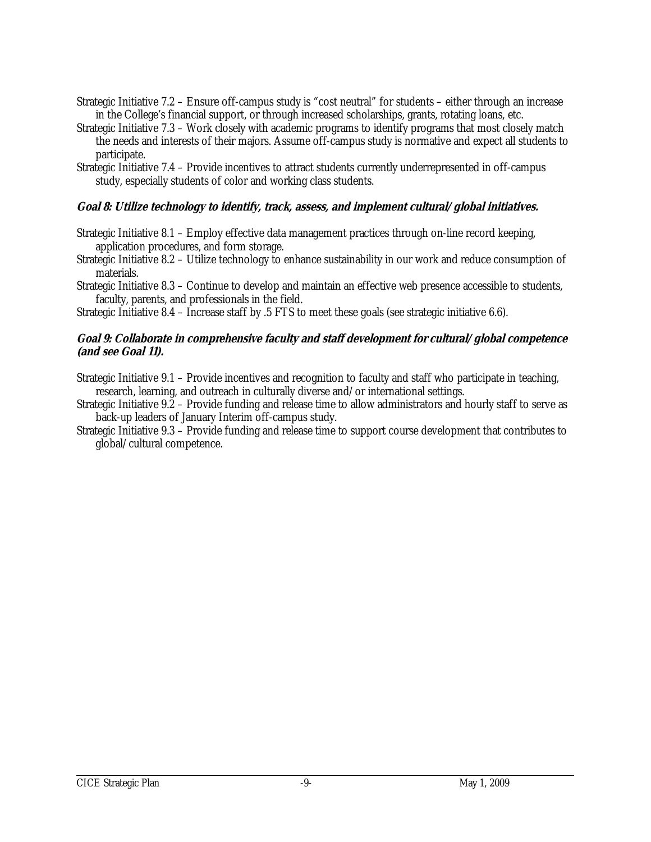- Strategic Initiative 7.2 Ensure off-campus study is "cost neutral" for students either through an increase in the College's financial support, or through increased scholarships, grants, rotating loans, etc.
- Strategic Initiative 7.3 Work closely with academic programs to identify programs that most closely match the needs and interests of their majors. Assume off-campus study is normative and expect all students to participate.
- Strategic Initiative 7.4 Provide incentives to attract students currently underrepresented in off-campus study, especially students of color and working class students.

# **Goal 8: Utilize technology to identify, track, assess, and implement cultural/global initiatives.**

- Strategic Initiative 8.1 Employ effective data management practices through on-line record keeping, application procedures, and form storage.
- Strategic Initiative 8.2 Utilize technology to enhance sustainability in our work and reduce consumption of materials.
- Strategic Initiative 8.3 Continue to develop and maintain an effective web presence accessible to students, faculty, parents, and professionals in the field.

Strategic Initiative 8.4 – Increase staff by .5 FTS to meet these goals (see strategic initiative 6.6).

#### **Goal 9: Collaborate in comprehensive faculty and staff development for cultural/global competence (and see Goal 11).**

Strategic Initiative 9.1 – Provide incentives and recognition to faculty and staff who participate in teaching, research, learning, and outreach in culturally diverse and/or international settings.

Strategic Initiative 9.2 – Provide funding and release time to allow administrators and hourly staff to serve as back-up leaders of January Interim off-campus study.

Strategic Initiative 9.3 – Provide funding and release time to support course development that contributes to global/cultural competence.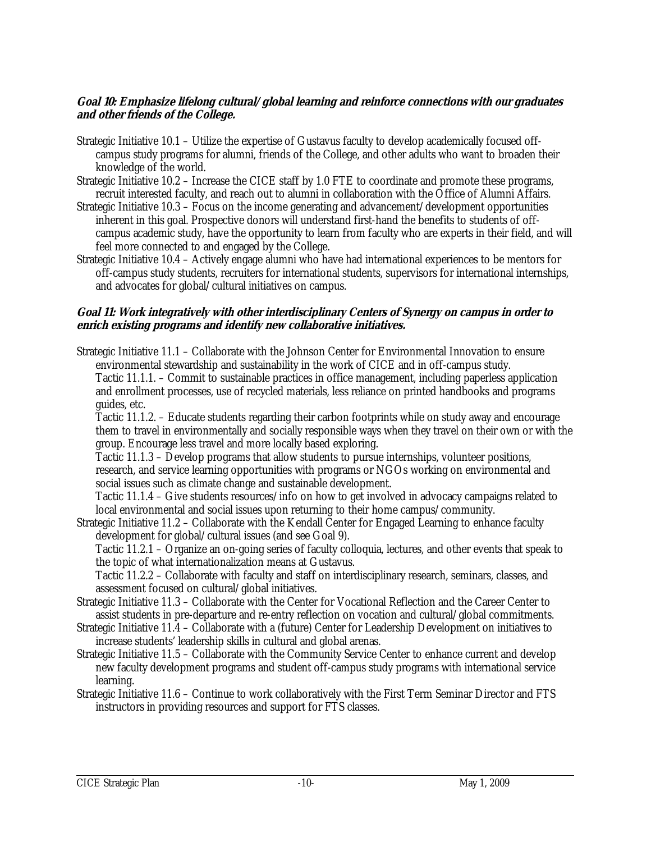#### **Goal 10: Emphasize lifelong cultural/global learning and reinforce connections with our graduates and other friends of the College.**

- Strategic Initiative 10.1 Utilize the expertise of Gustavus faculty to develop academically focused offcampus study programs for alumni, friends of the College, and other adults who want to broaden their knowledge of the world.
- Strategic Initiative 10.2 Increase the CICE staff by 1.0 FTE to coordinate and promote these programs, recruit interested faculty, and reach out to alumni in collaboration with the Office of Alumni Affairs.
- Strategic Initiative 10.3 Focus on the income generating and advancement/development opportunities inherent in this goal. Prospective donors will understand first-hand the benefits to students of offcampus academic study, have the opportunity to learn from faculty who are experts in their field, and will feel more connected to and engaged by the College.
- Strategic Initiative 10.4 Actively engage alumni who have had international experiences to be mentors for off-campus study students, recruiters for international students, supervisors for international internships, and advocates for global/cultural initiatives on campus.

#### **Goal 11: Work integratively with other interdisciplinary Centers of Synergy on campus in order to enrich existing programs and identify new collaborative initiatives.**

Strategic Initiative 11.1 – Collaborate with the Johnson Center for Environmental Innovation to ensure environmental stewardship and sustainability in the work of CICE and in off-campus study. Tactic 11.1.1. – Commit to sustainable practices in office management, including paperless application and enrollment processes, use of recycled materials, less reliance on printed handbooks and programs guides, etc.

 Tactic 11.1.2. – Educate students regarding their carbon footprints while on study away and encourage them to travel in environmentally and socially responsible ways when they travel on their own or with the group. Encourage less travel and more locally based exploring.

 Tactic 11.1.3 – Develop programs that allow students to pursue internships, volunteer positions, research, and service learning opportunities with programs or NGOs working on environmental and social issues such as climate change and sustainable development.

 Tactic 11.1.4 – Give students resources/info on how to get involved in advocacy campaigns related to local environmental and social issues upon returning to their home campus/community.

Strategic Initiative 11.2 – Collaborate with the Kendall Center for Engaged Learning to enhance faculty development for global/cultural issues (and see Goal 9).

 Tactic 11.2.1 – Organize an on-going series of faculty colloquia, lectures, and other events that speak to the topic of what internationalization means at Gustavus.

 Tactic 11.2.2 – Collaborate with faculty and staff on interdisciplinary research, seminars, classes, and assessment focused on cultural/global initiatives.

- Strategic Initiative 11.3 Collaborate with the Center for Vocational Reflection and the Career Center to assist students in pre-departure and re-entry reflection on vocation and cultural/global commitments.
- Strategic Initiative 11.4 Collaborate with a (future) Center for Leadership Development on initiatives to increase students' leadership skills in cultural and global arenas.
- Strategic Initiative 11.5 Collaborate with the Community Service Center to enhance current and develop new faculty development programs and student off-campus study programs with international service learning.
- Strategic Initiative 11.6 Continue to work collaboratively with the First Term Seminar Director and FTS instructors in providing resources and support for FTS classes.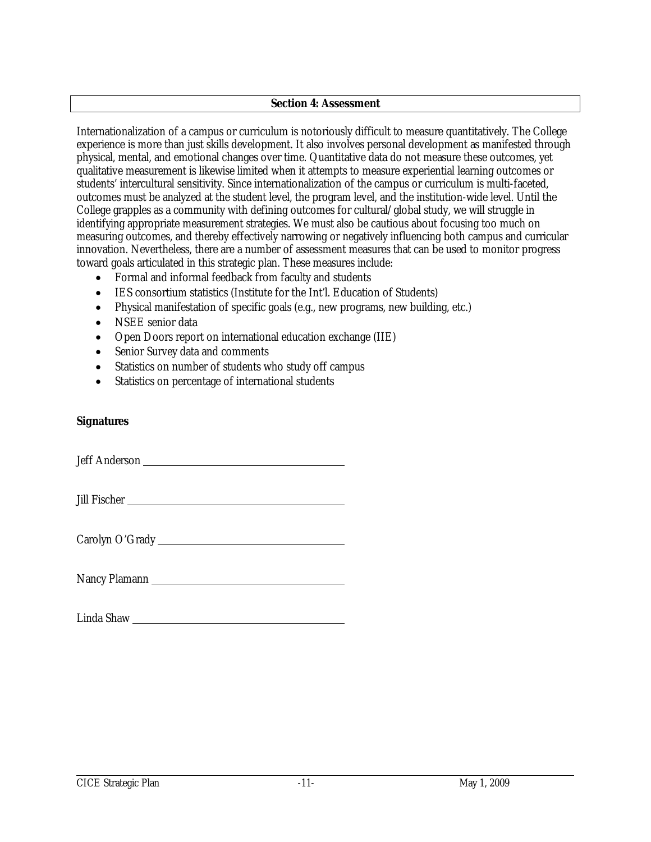#### **Section 4: Assessment**

Internationalization of a campus or curriculum is notoriously difficult to measure quantitatively. The College experience is more than just skills development. It also involves personal development as manifested through physical, mental, and emotional changes over time. Quantitative data do not measure these outcomes, yet qualitative measurement is likewise limited when it attempts to measure experiential learning outcomes or students' intercultural sensitivity. Since internationalization of the campus or curriculum is multi-faceted, outcomes must be analyzed at the student level, the program level, and the institution-wide level. Until the College grapples as a community with defining outcomes for cultural/global study, we will struggle in identifying appropriate measurement strategies. We must also be cautious about focusing too much on measuring outcomes, and thereby effectively narrowing or negatively influencing both campus and curricular innovation. Nevertheless, there are a number of assessment measures that can be used to monitor progress toward goals articulated in this strategic plan. These measures include:

- Formal and informal feedback from faculty and students
- IES consortium statistics (Institute for the Int'l. Education of Students)
- Physical manifestation of specific goals (e.g., new programs, new building, etc.)
- NSEE senior data
- Open Doors report on international education exchange (IIE)
- Senior Survey data and comments
- Statistics on number of students who study off campus
- Statistics on percentage of international students

#### **Signatures**

Jeff Anderson

| Jill Fischer |  |
|--------------|--|
|              |  |

Carolyn O'Grady

Nancy Plamann

Linda Shaw